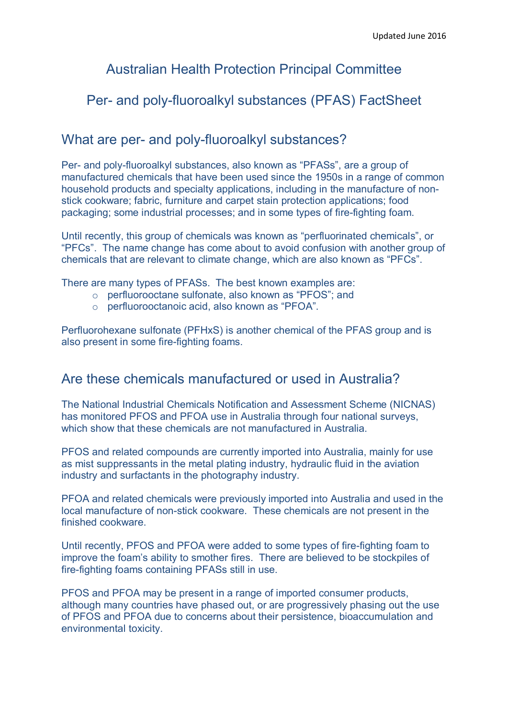# Australian Health Protection Principal Committee

# Per- and poly-fluoroalkyl substances (PFAS) FactSheet

## What are per- and poly-fluoroalkyl substances?

Per- and poly-fluoroalkyl substances, also known as "PFASs", are a group of manufactured chemicals that have been used since the 1950s in a range of common household products and specialty applications, including in the manufacture of nonstick cookware; fabric, furniture and carpet stain protection applications; food packaging; some industrial processes; and in some types of fire-fighting foam.

Until recently, this group of chemicals was known as "perfluorinated chemicals", or "PFCs". The name change has come about to avoid confusion with another group of chemicals that are relevant to climate change, which are also known as "PFCs".

There are many types of PFASs. The best known examples are:

- o perfluorooctane sulfonate, also known as "PFOS"; and
- o perfluorooctanoic acid, also known as "PFOA".

Perfluorohexane sulfonate (PFHxS) is another chemical of the PFAS group and is also present in some fire-fighting foams.

# Are these chemicals manufactured or used in Australia?

The National Industrial Chemicals Notification and Assessment Scheme (NICNAS) has monitored PFOS and PFOA use in Australia through four national surveys, which show that these chemicals are not manufactured in Australia.

PFOS and related compounds are currently imported into Australia, mainly for use as mist suppressants in the metal plating industry, hydraulic fluid in the aviation industry and surfactants in the photography industry.

PFOA and related chemicals were previously imported into Australia and used in the local manufacture of non-stick cookware. These chemicals are not present in the finished cookware.

Until recently, PFOS and PFOA were added to some types of fire-fighting foam to improve the foam's ability to smother fires. There are believed to be stockpiles of fire-fighting foams containing PFASs still in use.

PFOS and PFOA may be present in a range of imported consumer products, although many countries have phased out, or are progressively phasing out the use of PFOS and PFOA due to concerns about their persistence, bioaccumulation and environmental toxicity.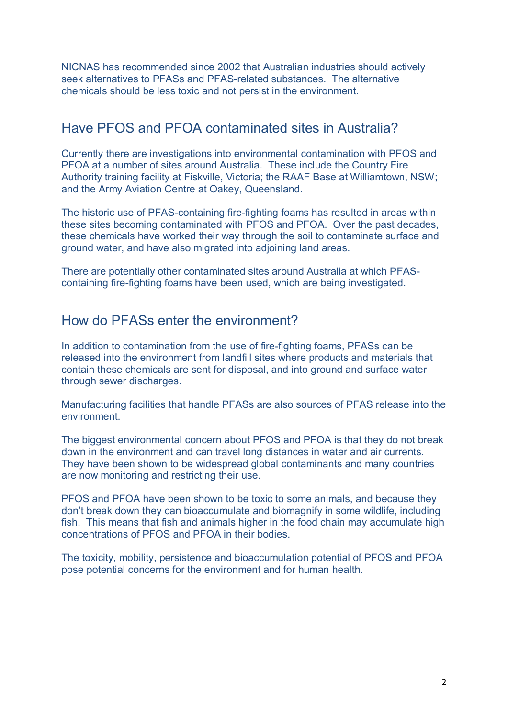NICNAS has recommended since 2002 that Australian industries should actively seek alternatives to PFASs and PFAS-related substances. The alternative chemicals should be less toxic and not persist in the environment.

## Have PFOS and PFOA contaminated sites in Australia?

Currently there are investigations into environmental contamination with PFOS and PFOA at a number of sites around Australia. These include the Country Fire Authority training facility at Fiskville, Victoria; the RAAF Base at Williamtown, NSW; and the Army Aviation Centre at Oakey, Queensland.

The historic use of PFAS-containing fire-fighting foams has resulted in areas within these sites becoming contaminated with PFOS and PFOA. Over the past decades, these chemicals have worked their way through the soil to contaminate surface and ground water, and have also migrated into adjoining land areas.

There are potentially other contaminated sites around Australia at which PFAScontaining fire-fighting foams have been used, which are being investigated.

### How do PFASs enter the environment?

In addition to contamination from the use of fire-fighting foams, PFASs can be released into the environment from landfill sites where products and materials that contain these chemicals are sent for disposal, and into ground and surface water through sewer discharges.

Manufacturing facilities that handle PFASs are also sources of PFAS release into the environment.

The biggest environmental concern about PFOS and PFOA is that they do not break down in the environment and can travel long distances in water and air currents. They have been shown to be widespread global contaminants and many countries are now monitoring and restricting their use.

PFOS and PFOA have been shown to be toxic to some animals, and because they don't break down they can bioaccumulate and biomagnify in some wildlife, including fish. This means that fish and animals higher in the food chain may accumulate high concentrations of PFOS and PFOA in their bodies.

The toxicity, mobility, persistence and bioaccumulation potential of PFOS and PFOA pose potential concerns for the environment and for human health.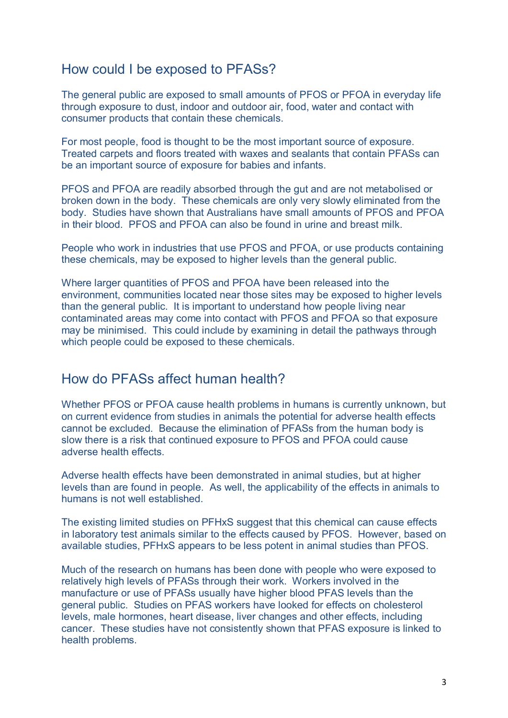## How could I be exposed to PFASs?

The general public are exposed to small amounts of PFOS or PFOA in everyday life through exposure to dust, indoor and outdoor air, food, water and contact with consumer products that contain these chemicals.

For most people, food is thought to be the most important source of exposure. Treated carpets and floors treated with waxes and sealants that contain PFASs can be an important source of exposure for babies and infants.

PFOS and PFOA are readily absorbed through the gut and are not metabolised or broken down in the body. These chemicals are only very slowly eliminated from the body. Studies have shown that Australians have small amounts of PFOS and PFOA in their blood. PFOS and PFOA can also be found in urine and breast milk.

People who work in industries that use PFOS and PFOA, or use products containing these chemicals, may be exposed to higher levels than the general public.

Where larger quantities of PFOS and PFOA have been released into the environment, communities located near those sites may be exposed to higher levels than the general public. It is important to understand how people living near contaminated areas may come into contact with PFOS and PFOA so that exposure may be minimised. This could include by examining in detail the pathways through which people could be exposed to these chemicals.

### How do PFASs affect human health?

Whether PFOS or PFOA cause health problems in humans is currently unknown, but on current evidence from studies in animals the potential for adverse health effects cannot be excluded. Because the elimination of PFASs from the human body is slow there is a risk that continued exposure to PFOS and PFOA could cause adverse health effects.

Adverse health effects have been demonstrated in animal studies, but at higher levels than are found in people. As well, the applicability of the effects in animals to humans is not well established.

The existing limited studies on PFHxS suggest that this chemical can cause effects in laboratory test animals similar to the effects caused by PFOS. However, based on available studies, PFHxS appears to be less potent in animal studies than PFOS.

Much of the research on humans has been done with people who were exposed to relatively high levels of PFASs through their work. Workers involved in the manufacture or use of PFASs usually have higher blood PFAS levels than the general public. Studies on PFAS workers have looked for effects on cholesterol levels, male hormones, heart disease, liver changes and other effects, including cancer. These studies have not consistently shown that PFAS exposure is linked to health problems.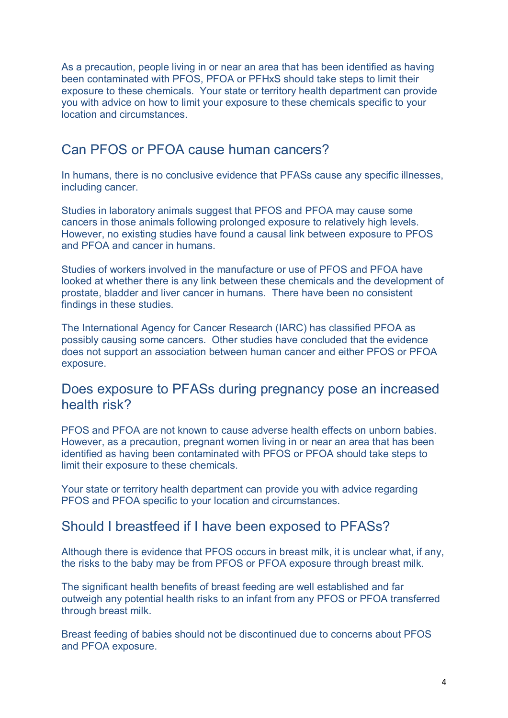As a precaution, people living in or near an area that has been identified as having been contaminated with PFOS, PFOA or PFHxS should take steps to limit their exposure to these chemicals. Your state or territory health department can provide you with advice on how to limit your exposure to these chemicals specific to your location and circumstances.

# Can PFOS or PFOA cause human cancers?

In humans, there is no conclusive evidence that PFASs cause any specific illnesses, including cancer.

Studies in laboratory animals suggest that PFOS and PFOA may cause some cancers in those animals following prolonged exposure to relatively high levels. However, no existing studies have found a causal link between exposure to PFOS and PFOA and cancer in humans.

Studies of workers involved in the manufacture or use of PFOS and PFOA have looked at whether there is any link between these chemicals and the development of prostate, bladder and liver cancer in humans. There have been no consistent findings in these studies.

The International Agency for Cancer Research (IARC) has classified PFOA as possibly causing some cancers. Other studies have concluded that the evidence does not support an association between human cancer and either PFOS or PFOA exposure.

### Does exposure to PFASs during pregnancy pose an increased health risk?

PFOS and PFOA are not known to cause adverse health effects on unborn babies. However, as a precaution, pregnant women living in or near an area that has been identified as having been contaminated with PFOS or PFOA should take steps to limit their exposure to these chemicals.

Your state or territory health department can provide you with advice regarding PFOS and PFOA specific to your location and circumstances.

#### Should I breastfeed if I have been exposed to PFASs?

Although there is evidence that PFOS occurs in breast milk, it is unclear what, if any, the risks to the baby may be from PFOS or PFOA exposure through breast milk.

The significant health benefits of breast feeding are well established and far outweigh any potential health risks to an infant from any PFOS or PFOA transferred through breast milk.

Breast feeding of babies should not be discontinued due to concerns about PFOS and PFOA exposure.